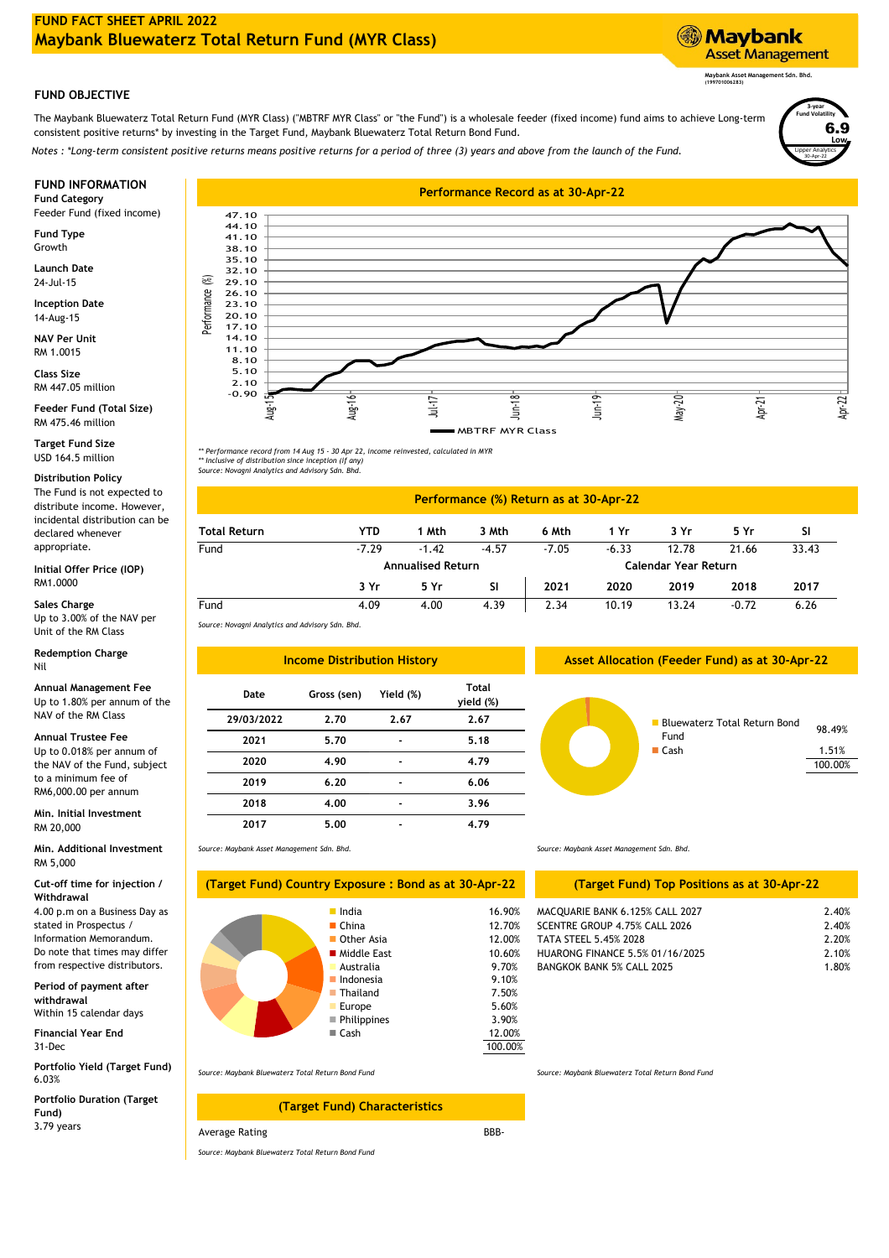# **FUND OBJECTIVE**

The Maybank Bluewaterz Total Return Fund (MYR Class) ("MBTRF MYR Class" or "the Fund") is a wholesale feeder (fixed income) fund aims to achieve Long-term consistent positive returns\* by investing in the Target Fund, Maybank Bluewaterz Total Return Bond Fund.

*Notes : \*Long-term consistent positive returns means positive returns for a period of three (3) years and above from the launch of the Fund.*

Feeder Fund (fixed income)

**Fund Type** Growth

**Launch Date** 24-Jul-15

**Inception Date** 14-Aug-15

**NAV Per Unit** RM 1.0015

**Class Size** RM 447.05 million

RM 475.46 million **Feeder Fund (Total Size)**

**Target Fund Size** USD 164.5 million

# **Distribution Policy**

The Fund is not expected to distribute income. However, incidental distribution can be declared whenever appropriate.

**Initial Offer Price (IOP)** RM1.0000

**Sales Charge** Up to 3.00% of the NAV per Unit of the RM Class

## **Redemption Charge** Nil

Up to 1.80% per annum of the NAV of the RM Class **Annual Management Fee**

# **2021 5.70 Annual Trustee Fee**

Up to 0.018% per annum of the NAV of the Fund, subject to a minimum fee of RM6,000.00 per annum

RM 20,000 **Min. Initial Investment**

**Min. Additional Investment** RM 5,000

## **Cut-off time for injection / Withdrawal**

4.00 p.m on a Business Day as stated in Prospectus / Information Memorandum. Do note that times may differ from respective distributors.

**Period of payment after withdrawal** Within 15 calendar days

31-Dec **Financial Year End**

6.03% **Portfolio Yield (Target Fund)**

**Portfolio Duration (Target Fund)** 3.79 years



*\*\* Performance record from 14 Aug 15 - 30 Apr 22, income reinvested, calculated in MYR \*\* Inclusive of distribution since inception (if any) Source: Novagni Analytics and Advisory Sdn. Bhd.*

### -7.29 10.19 **6 Mth 1 Yr 1 Mth 3 Mth** -7.05 **Performance (%) Return as at 30-Apr-22 Total Return YTD** Fund -1.42 4.39 **Annualised Return Calendar Year Return** -6.33 21.66 12.78 **3 Yr 2019** 33.43  $4.00$ 4.09 **5 Yr SI 2018 2017 Fund 2021** 2.34 13.24 **3 Yr**  $-0.72$  6.26 **SI** -4.57 **5 Yr 2020**

3.90%

9.10%

**7.50%** 5.60%

12.00%

100.00%

*Source: Novagni Analytics and Advisory Sdn. Bhd.*

| <b>Income Distribution History</b> |             |                          |                    | Asset Allocation (Feeder Fund) as at 30-Apr-22 |
|------------------------------------|-------------|--------------------------|--------------------|------------------------------------------------|
| Date                               | Gross (sen) | Yield (%)                | Total<br>yield (%) |                                                |
| 29/03/2022                         | 2.70        | 2.67                     | 2.67               | <b>Bluewaterz Total Return Bond</b>            |
| 2021                               | 5.70        |                          | 5.18               | Fund                                           |
| 2020                               | 4.90        | $\overline{\phantom{0}}$ | 4.79               | $\blacksquare$ Cash                            |
| 2019                               | 6.20        | $\blacksquare$           | 6.06               |                                                |
| 2018                               | 4.00        |                          | 3.96               |                                                |
| 2017                               | 5.00        |                          | 4.79               |                                                |
|                                    |             |                          |                    |                                                |

**Asset Allocation (Feeder Fund) as at 30-Apr-22**



*Source: Maybank Asset Management Sdn. Bhd.*

| (Target Fund) Country Exposure : Bond as at 30-Apr-22                                                                                   |                                                                                                  |
|-----------------------------------------------------------------------------------------------------------------------------------------|--------------------------------------------------------------------------------------------------|
| lndia<br>$\blacksquare$ China<br>Other Asia<br>■ Middle East<br>Australia<br>Indonesia<br>■ Thailand<br>Europe<br>Philippines<br>■ Cash | 16.90<br>12.70<br>12.00<br>10.60<br>9.70%<br>9.10%<br>7.50%<br>5.60%<br>3.90%<br>12.00<br>100.00 |
|                                                                                                                                         |                                                                                                  |

*Source: Maybank Bluewaterz Total Return Bond Fund*

# BBB-**(Target Fund) Characteristics**

Average Rating

*Source: Maybank Bluewaterz Total Return Bond Fund*

*Source: Maybank Asset Management Sdn. Bhd.*

# MACQUARIE BANK 6 125% CALL 2027 **(Target Fund) Top Positions as at 30-Apr-22**

| India       | 16.90%               | MACOUARIE BANK 6.125% CALL 2027  | 2.40% |
|-------------|----------------------|----------------------------------|-------|
| China       | 12.70%               | SCENTRE GROUP 4.75% CALL 2026    | 2.40% |
| Other Asia  | 12.00%               | TATA STEEL 5.45% 2028            | 2.20% |
| Middle East | 10.60%               | HUARONG FINANCE 5.5% 01/16/2025  | 2.10% |
| Australia   | 9.70%                | <b>BANGKOK BANK 5% CALL 2025</b> | 1.80% |
| .           | $\sim$ $\sim$ $\sim$ |                                  |       |

*Source: Maybank Bluewaterz Total Return Bond Fund*

**Maybank Asset Management** 

**Maybank Asset Management Sdn. Bhd. (199701006283)**

Lipper Analytics

30-Apr-22

**Low** R 0

**3-year Fund Volatility**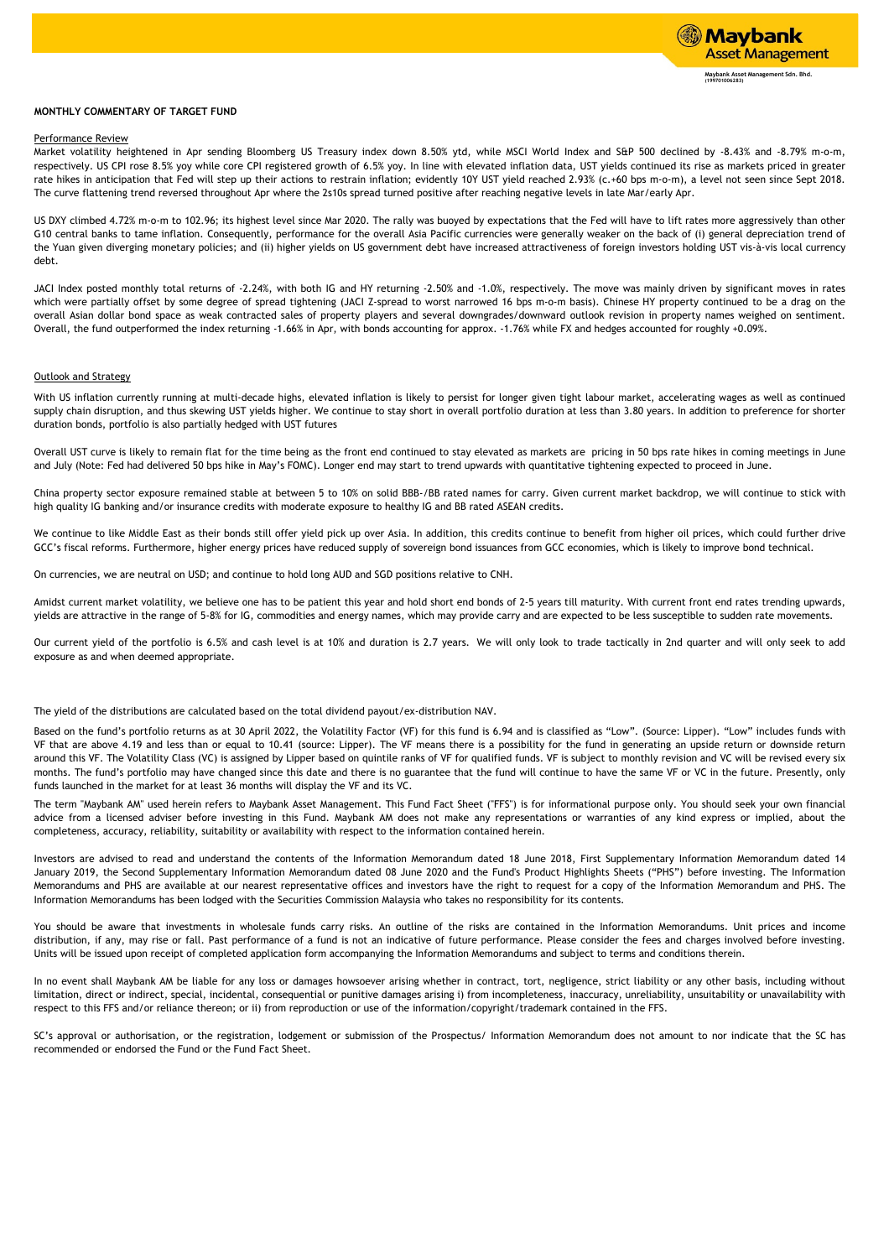## **MONTHLY COMMENTARY OF TARGET FUND**

# Performance Review

Market volatility heightened in Apr sending Bloomberg US Treasury index down 8.50% ytd, while MSCI World Index and S&P 500 declined by -8.43% and -8.79% m-o-m, respectively. US CPI rose 8.5% yoy while core CPI registered growth of 6.5% yoy. In line with elevated inflation data, UST yields continued its rise as markets priced in greater rate hikes in anticipation that Fed will step up their actions to restrain inflation; evidently 10Y UST yield reached 2.93% (c.+60 bps m-o-m), a level not seen since Sept 2018. The curve flattening trend reversed throughout Apr where the 2s10s spread turned positive after reaching negative levels in late Mar/early Apr.

US DXY climbed 4.72% m-o-m to 102.96; its highest level since Mar 2020. The rally was buoyed by expectations that the Fed will have to lift rates more aggressively than other G10 central banks to tame inflation. Consequently, performance for the overall Asia Pacific currencies were generally weaker on the back of (i) general depreciation trend of the Yuan given diverging monetary policies; and (ii) higher yields on US government debt have increased attractiveness of foreign investors holding UST vis-à-vis local currency debt.

JACI Index posted monthly total returns of -2.24%, with both IG and HY returning -2.50% and -1.0%, respectively. The move was mainly driven by significant moves in rates which were partially offset by some degree of spread tightening (JACI Z-spread to worst narrowed 16 bps m-o-m basis). Chinese HY property continued to be a drag on the overall Asian dollar bond space as weak contracted sales of property players and several downgrades/downward outlook revision in property names weighed on sentiment. Overall, the fund outperformed the index returning -1.66% in Apr, with bonds accounting for approx. -1.76% while FX and hedges accounted for roughly +0.09%.

### Outlook and Strategy

With US inflation currently running at multi-decade highs, elevated inflation is likely to persist for longer given tight labour market, accelerating wages as well as continued supply chain disruption, and thus skewing UST yields higher. We continue to stay short in overall portfolio duration at less than 3.80 years. In addition to preference for shorter duration bonds, portfolio is also partially hedged with UST futures

Overall UST curve is likely to remain flat for the time being as the front end continued to stay elevated as markets are pricing in 50 bps rate hikes in coming meetings in June and July (Note: Fed had delivered 50 bps hike in May's FOMC). Longer end may start to trend upwards with quantitative tightening expected to proceed in June.

China property sector exposure remained stable at between 5 to 10% on solid BBB-/BB rated names for carry. Given current market backdrop, we will continue to stick with high quality IG banking and/or insurance credits with moderate exposure to healthy IG and BB rated ASEAN credits.

We continue to like Middle East as their bonds still offer yield pick up over Asia. In addition, this credits continue to benefit from higher oil prices, which could further drive GCC's fiscal reforms. Furthermore, higher energy prices have reduced supply of sovereign bond issuances from GCC economies, which is likely to improve bond technical.

On currencies, we are neutral on USD; and continue to hold long AUD and SGD positions relative to CNH.

Amidst current market volatility, we believe one has to be patient this year and hold short end bonds of 2-5 years till maturity. With current front end rates trending upwards, yields are attractive in the range of 5-8% for IG, commodities and energy names, which may provide carry and are expected to be less susceptible to sudden rate movements.

Our current yield of the portfolio is 6.5% and cash level is at 10% and duration is 2.7 years. We will only look to trade tactically in 2nd quarter and will only seek to add exposure as and when deemed appropriate.

The yield of the distributions are calculated based on the total dividend payout/ex-distribution NAV.

Based on the fund's portfolio returns as at 30 April 2022, the Volatility Factor (VF) for this fund is 6.94 and is classified as "Low". (Source: Lipper). "Low" includes funds with VF that are above 4.19 and less than or equal to 10.41 (source: Lipper). The VF means there is a possibility for the fund in generating an upside return or downside return around this VF. The Volatility Class (VC) is assigned by Lipper based on quintile ranks of VF for qualified funds. VF is subject to monthly revision and VC will be revised every six months. The fund's portfolio may have changed since this date and there is no guarantee that the fund will continue to have the same VF or VC in the future. Presently, only funds launched in the market for at least 36 months will display the VF and its VC.

The term "Maybank AM" used herein refers to Maybank Asset Management. This Fund Fact Sheet ("FFS") is for informational purpose only. You should seek your own financial advice from a licensed adviser before investing in this Fund. Maybank AM does not make any representations or warranties of any kind express or implied, about the completeness, accuracy, reliability, suitability or availability with respect to the information contained herein.

Investors are advised to read and understand the contents of the Information Memorandum dated 18 June 2018, First Supplementary Information Memorandum dated 14 January 2019, the Second Supplementary Information Memorandum dated 08 June 2020 and the Fund's Product Highlights Sheets ("PHS") before investing. The Information Memorandums and PHS are available at our nearest representative offices and investors have the right to request for a copy of the Information Memorandum and PHS. The Information Memorandums has been lodged with the Securities Commission Malaysia who takes no responsibility for its contents.

You should be aware that investments in wholesale funds carry risks. An outline of the risks are contained in the Information Memorandums. Unit prices and income distribution, if any, may rise or fall. Past performance of a fund is not an indicative of future performance. Please consider the fees and charges involved before investing. Units will be issued upon receipt of completed application form accompanying the Information Memorandums and subject to terms and conditions therein.

In no event shall Maybank AM be liable for any loss or damages howsoever arising whether in contract, tort, negligence, strict liability or any other basis, including without limitation, direct or indirect, special, incidental, consequential or punitive damages arising i) from incompleteness, inaccuracy, unreliability, unsuitability or unavailability with respect to this FFS and/or reliance thereon; or ii) from reproduction or use of the information/copyright/trademark contained in the FFS.

SC's approval or authorisation, or the registration, lodgement or submission of the Prospectus/ Information Memorandum does not amount to nor indicate that the SC has recommended or endorsed the Fund or the Fund Fact Sheet.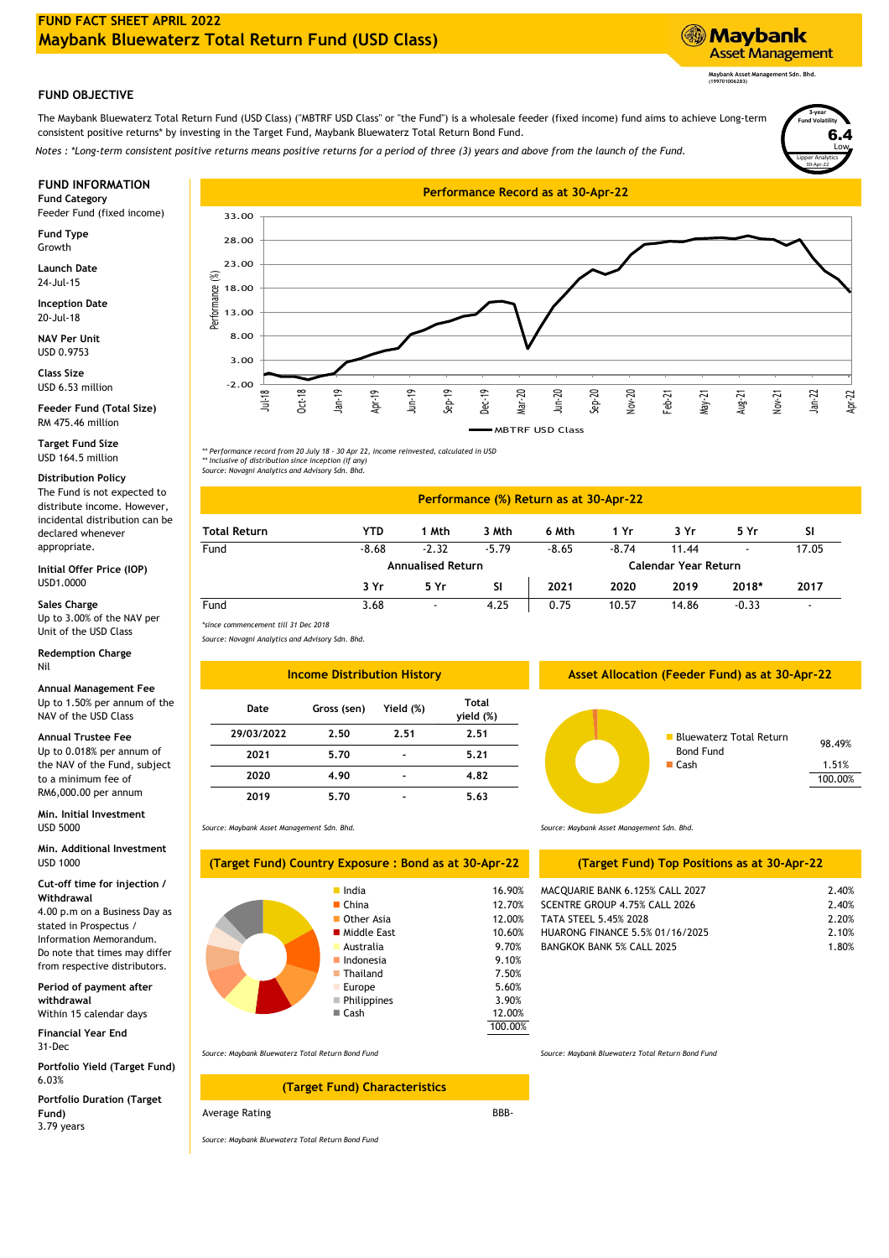

The Maybank Bluewaterz Total Return Fund (USD Class) ("MBTRF USD Class" or "the Fund") is a wholesale feeder (fixed income) fund aims to achieve Long-term consistent positive returns\* by investing in the Target Fund, Maybank Bluewaterz Total Return Bond Fund.

*Notes : \*Long-term consistent positive returns means positive returns for a period of three (3) years and above from the launch of the Fund.*

Feeder Fund (fixed income)

**Fund Type** Growth

**Launch Date** 24-Jul-15

20-Jul-18 **Inception Date**

**NAV Per Unit** USD 0.9753

USD 6.53 million **Class Size**

**Feeder Fund (Total Size)** RM 475.46 million

**Target Fund Size** USD 164.5 million

# **Distribution Policy**

The Fund is not expected to distribute income. However, incidental distribution can be declared whenever appropriate.

USD1.0000 **Initial Offer Price (IOP)**

Up to 3.00% of the NAV per Unit of the USD Class **Sales Charge**

**Redemption Charge** Nil

**Annual Management Fee Gross (sen)** Up to 1.50% per annum of the NAV of the USD Class

# **Annual Trustee Fee**

Up to 0.018% per annum of the NAV of the Fund, subject to a minimum fee of RM6,000.00 per annum

**Min. Initial Investment** USD 5000

USD 1000 **Min. Additional Investment**

## **Cut-off time for injection / Withdrawal**

4.00 p.m on a Business Day as stated in Prospectus / Information Memorandum. Do note that times may differ from respective distributors.

Within 15 calendar days **Period of payment after withdrawal**

**Financial Year End** 31-Dec

6.03% **Portfolio Yield (Target Fund)**

**Portfolio Duration (Target Fund)** 3.79 years



*\*\* Performance record from 20 July 18 - 30 Apr 22, income reinvested, calculated in USD \*\* Inclusive of distribution since inception (if any) Source: Novagni Analytics and Advisory Sdn. Bhd.*

### **6 Mth 3 Yr 5 Yr Performance (%) Return as at 30-Apr-22 YTD 1 Mth 1 Yr 3 Mth**

| Fund | $-8.68$ | $-2.32$                  | $-5.79$ | $-8.65$              | $-8.74$ | 11.44 | ٠       | 17.05 |
|------|---------|--------------------------|---------|----------------------|---------|-------|---------|-------|
|      |         | <b>Annualised Return</b> |         | Calendar Year Return |         |       |         |       |
|      | 3 Yr    | 5 Yr                     | SI      | 2021                 | 2020    | 2019  | 2018*   | 2017  |
| Fund | 3.68    | ٠                        | 4.25    | 0.75                 | 10.57   | 14.86 | $-0.33$ |       |

*\*since commencement till 31 Dec 2018 Source: Novagni Analytics and Advisory Sdn. Bhd.*

**Total Return**

*Source: Maybank Asset Management Sdn. Bhd.*

| <b>Income Distribution History</b> |             |                |                    |  |  |
|------------------------------------|-------------|----------------|--------------------|--|--|
| Date                               | Gross (sen) | Yield (%)      | Total<br>yield (%) |  |  |
| 29/03/2022                         | 2.50        | 2.51           | 2.51               |  |  |
| 2021                               | 5.70        |                | 5.21               |  |  |
| 2020                               | 4.90        | $\blacksquare$ | 4.82               |  |  |
| 2019                               | 5.70        |                | 5.63               |  |  |

**(Target Fund) Country Exposure : Bond as at 30-Apr-22**

 Europe **Philippines** ■ Cash

# *Source: Maybank Asset Management Sdn. Bhd.*

# **(Target Fund) Top Positions as at 30-Apr-22**

| lndia            | 16.90% | MACQUARIE BANK 6.125% CALL 2027  | 2.40% |
|------------------|--------|----------------------------------|-------|
| ■ China          | 12.70% | SCENTRE GROUP 4.75% CALL 2026    | 2.40% |
| Other Asia       | 12.00% | TATA STEEL 5.45% 2028            | 2.20% |
| ■ Middle East    | 10.60% | HUARONG FINANCE 5.5% 01/16/2025  | 2.10% |
| <b>Australia</b> | 9.70%  | <b>BANGKOK BANK 5% CALL 2025</b> | 1.80% |
| ■ Indonesia      | 9.10%  |                                  |       |
| ■ Thailand       | 7.50%  |                                  |       |
|                  |        |                                  |       |

*Source: Maybank Bluewaterz Total Return Bond Fund Source: Maybank Bluewaterz Total Return Bond Fund*

# **(Target Fund) Characteristics**

Average Rating

*Source: Maybank Bluewaterz Total Return Bond Fund*

BBB-

5.60% 7.50%

3.90% 12.00% 100.00% **Asset Allocation (Feeder Fund) as at 30-Apr-22**



Lipper Analytics **Fund Volatility** Low 6.4 30-Apr-22

**3-year**

**Maybank Asset Management Sdn. Bhd. (199701006283)**

**Asset Management** 

**Maybank** 

**SI**